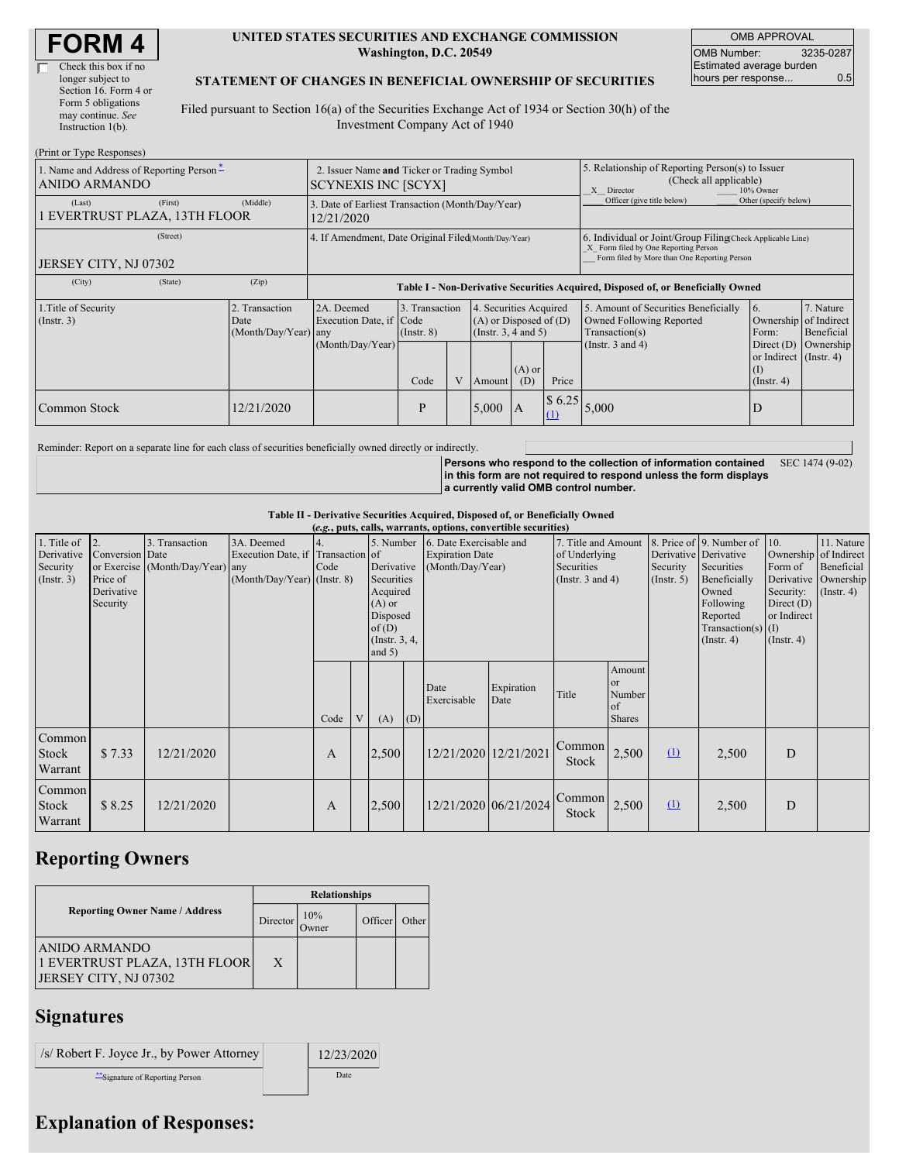#### **UNITED STATES SECURITIES AND EXCHANGE COMMISSION Washington, D.C. 20549**

OMB APPROVAL OMB Number: 3235-0287 Estimated average burden hours per response... 0.5

#### **STATEMENT OF CHANGES IN BENEFICIAL OWNERSHIP OF SECURITIES**

Filed pursuant to Section 16(a) of the Securities Exchange Act of 1934 or Section 30(h) of the Investment Company Act of 1940

| (Print or Type Responses)                                                                  |                                                                           |                                                                                  |                                   |              |                                                                                  |                 |                                                                                                       |                                                                                                                                                    |                                                              |                         |  |
|--------------------------------------------------------------------------------------------|---------------------------------------------------------------------------|----------------------------------------------------------------------------------|-----------------------------------|--------------|----------------------------------------------------------------------------------|-----------------|-------------------------------------------------------------------------------------------------------|----------------------------------------------------------------------------------------------------------------------------------------------------|--------------------------------------------------------------|-------------------------|--|
| 1. Name and Address of Reporting Person*<br>ANIDO ARMANDO                                  | 2. Issuer Name and Ticker or Trading Symbol<br><b>SCYNEXIS INC [SCYX]</b> |                                                                                  |                                   |              |                                                                                  |                 | 5. Relationship of Reporting Person(s) to Issuer<br>(Check all applicable)<br>X Director<br>10% Owner |                                                                                                                                                    |                                                              |                         |  |
| (First)<br>(Last)<br>EVERTRUST PLAZA, 13TH FLOOR                                           | (Middle)                                                                  | 3. Date of Earliest Transaction (Month/Day/Year)<br>12/21/2020                   |                                   |              |                                                                                  |                 |                                                                                                       | Officer (give title below)                                                                                                                         | Other (specify below)                                        |                         |  |
| (Street)<br>JERSEY CITY, NJ 07302                                                          |                                                                           | 4. If Amendment, Date Original Filed(Month/Day/Year)                             |                                   |              |                                                                                  |                 |                                                                                                       | 6. Individual or Joint/Group Filing(Check Applicable Line)<br>X Form filed by One Reporting Person<br>Form filed by More than One Reporting Person |                                                              |                         |  |
| (State)<br>(City)                                                                          | (Zip)                                                                     | Table I - Non-Derivative Securities Acquired, Disposed of, or Beneficially Owned |                                   |              |                                                                                  |                 |                                                                                                       |                                                                                                                                                    |                                                              |                         |  |
| 1. Title of Security<br>2. Transaction<br>$($ Instr. 3 $)$<br>Date<br>(Month/Day/Year) any |                                                                           | 2A. Deemed<br>Execution Date, if Code                                            | 3. Transaction<br>$($ Instr. $8)$ |              | 4. Securities Acquired<br>$(A)$ or Disposed of $(D)$<br>(Instr. $3, 4$ and $5$ ) |                 |                                                                                                       | 5. Amount of Securities Beneficially<br>Owned Following Reported<br>Transaction(s)                                                                 | <b>6.</b><br>Ownership of Indirect<br>Form:                  | 7. Nature<br>Beneficial |  |
|                                                                                            |                                                                           | (Month/Day/Year)                                                                 | Code                              | $\mathbf{V}$ | Amount                                                                           | $(A)$ or<br>(D) | Price                                                                                                 | (Instr. $3$ and $4$ )                                                                                                                              | Direct $(D)$<br>or Indirect (Instr. 4)<br>(I)<br>(Insert. 4) | Ownership               |  |
| Common Stock                                                                               | 12/21/2020                                                                |                                                                                  | P                                 |              | 5,000                                                                            | $\mathsf{I}$ A  | \$6.25<br>(1)                                                                                         | 5,000                                                                                                                                              | D                                                            |                         |  |

Reminder: Report on a separate line for each class of securities beneficially owned directly or indirectly.

**Persons who respond to the collection of information contained in this form are not required to respond unless the form displays a currently valid OMB control number.** SEC 1474 (9-02)

**Table II - Derivative Securities Acquired, Disposed of, or Beneficially Owned**

| (e.g., puts, calls, warrants, options, convertible securities) |                                                                 |                                                    |                                                                                  |      |   |                                                                                                                    |     |                                                                                     |                       |                                                               |                                                          |                                                  |                                                                                                                                      |                                                                                                         |                                                                        |
|----------------------------------------------------------------|-----------------------------------------------------------------|----------------------------------------------------|----------------------------------------------------------------------------------|------|---|--------------------------------------------------------------------------------------------------------------------|-----|-------------------------------------------------------------------------------------|-----------------------|---------------------------------------------------------------|----------------------------------------------------------|--------------------------------------------------|--------------------------------------------------------------------------------------------------------------------------------------|---------------------------------------------------------------------------------------------------------|------------------------------------------------------------------------|
| 1. Title of<br>Derivative<br>Security<br>(Insert. 3)           | $ 2$ .<br>Conversion Date<br>Price of<br>Derivative<br>Security | 3. Transaction<br>or Exercise (Month/Day/Year) any | 3A. Deemed<br>Execution Date, if Transaction of<br>$(Month/Day/Year)$ (Instr. 8) | Code |   | 5. Number<br>Derivative<br>Securities<br>Acquired<br>$(A)$ or<br>Disposed<br>of $(D)$<br>(Instr. 3, 4,<br>and $5)$ |     | 6. Date Exercisable and<br><b>Expiration Date</b><br>(Month/Day/Year)<br>Securities |                       | 7. Title and Amount<br>of Underlying<br>(Instr. $3$ and $4$ ) |                                                          | Derivative Derivative<br>Security<br>(Insert. 5) | 8. Price of 9. Number of<br>Securities<br>Beneficially<br>Owned<br>Following<br>Reported<br>Transaction(s) $(I)$<br>$($ Instr. 4 $)$ | 10.<br>Ownership of Indirect<br>Form of<br>Security:<br>Direct $(D)$<br>or Indirect<br>$($ Instr. 4 $)$ | 11. Nature<br>Beneficial<br>Derivative   Ownership<br>$($ Instr. 4 $)$ |
|                                                                |                                                                 |                                                    |                                                                                  | Code | V | (A)                                                                                                                | (D) | Date<br>Exercisable                                                                 | Expiration<br>Date    | Title                                                         | Amount<br><sub>or</sub><br>Number<br>of<br><b>Shares</b> |                                                  |                                                                                                                                      |                                                                                                         |                                                                        |
| Common<br>Stock<br>Warrant                                     | \$7.33                                                          | 12/21/2020                                         |                                                                                  | A    |   | 2,500                                                                                                              |     | 12/21/2020 12/21/2021                                                               |                       | Common<br><b>Stock</b>                                        | 2,500                                                    | $\Omega$                                         | 2,500                                                                                                                                | D                                                                                                       |                                                                        |
| Common<br>Stock<br>Warrant                                     | \$8.25                                                          | 12/21/2020                                         |                                                                                  | A    |   | 2,500                                                                                                              |     |                                                                                     | 12/21/2020 06/21/2024 | Common<br>Stock                                               | 2,500                                                    | $\Omega$                                         | 2,500                                                                                                                                | D                                                                                                       |                                                                        |

## **Reporting Owners**

| <b>Reporting Owner Name / Address</b>                                          | Director | 10%<br><b>Jwner</b> | Officer <sup>'</sup> | Other |
|--------------------------------------------------------------------------------|----------|---------------------|----------------------|-------|
| <b>ANIDO ARMANDO</b><br>1 EVERTRUST PLAZA, 13TH FLOOR<br>JERSEY CITY, NJ 07302 | X        |                     |                      |       |

### **Signatures**

| $\frac{1}{s}$ Robert F. Joyce Jr., by Power Attorney | 12/23/2020 |
|------------------------------------------------------|------------|
| "Signature of Reporting Person"                      | Date       |

# **Explanation of Responses:**